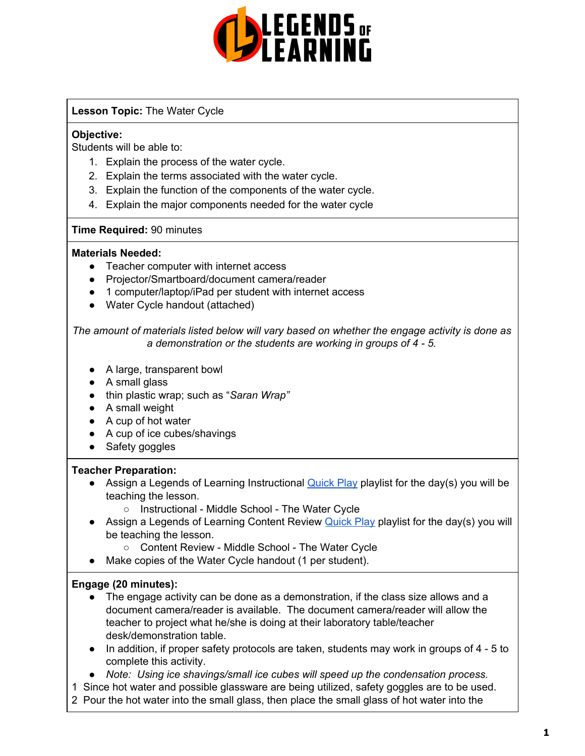

### **Lesson Topic:** The Water Cycle

## **Objective:**

Students will be able to:

- 1. Explain the process of the water cycle.
- 2. Explain the terms associated with the water cycle.
- 3. Explain the function of the components of the water cycle.
- 4. Explain the major components needed for the water cycle

## **Time Required:** 90 minutes

### **Materials Needed:**

- Teacher computer with internet access
- Projector/Smartboard/document camera/reader
- 1 computer/laptop/iPad per student with internet access
- Water Cycle handout (attached)

*The amount of materials listed below will vary based on whether the engage activity is done as a demonstration or the students are working in groups of 4 - 5.*

- A large, transparent bowl
- A small glass
- thin plastic wrap; such as "*Saran Wrap"*
- A small weight
- A cup of hot water
- A cup of ice cubes/shavings
- Safety goggles

### **Teacher Preparation:**

- Assign a Legends of Learning Instructional **[Quick](https://intercom.help/legends-of-learning/en/articles/2701866-assigning-a-quick-play-playlist) Play playlist for the day(s)** you will be teaching the lesson.
	- Instructional Middle School The Water Cycle
- Assign a Legends of Learning Content Review **[Quick](https://intercom.help/legends-of-learning/en/articles/2701866-assigning-a-quick-play-playlist) Play playlist for the day(s)** you will be teaching the lesson.
	- Content Review Middle School The Water Cycle
- Make copies of the Water Cycle handout (1 per student).

# **Engage (20 minutes):**

- The engage activity can be done as a demonstration, if the class size allows and a document camera/reader is available. The document camera/reader will allow the teacher to project what he/she is doing at their laboratory table/teacher desk/demonstration table.
- In addition, if proper safety protocols are taken, students may work in groups of 4 5 to complete this activity.
- *● Note: Using ice shavings/small ice cubes will speed up the condensation process.*
- 1 Since hot water and possible glassware are being utilized, safety goggles are to be used.
- 2 Pour the hot water into the small glass, then place the small glass of hot water into the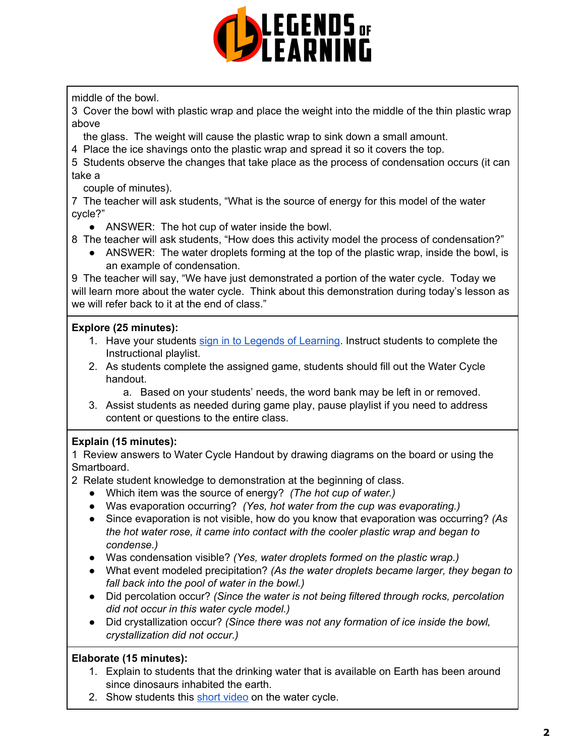

middle of the bowl.

3 Cover the bowl with plastic wrap and place the weight into the middle of the thin plastic wrap above

the glass. The weight will cause the plastic wrap to sink down a small amount.

4 Place the ice shavings onto the plastic wrap and spread it so it covers the top.

5 Students observe the changes that take place as the process of condensation occurs (it can take a

couple of minutes).

7 The teacher will ask students, "What is the source of energy for this model of the water cycle?"

• ANSWER: The hot cup of water inside the bowl.

8 The teacher will ask students, "How does this activity model the process of condensation?"

• ANSWER: The water droplets forming at the top of the plastic wrap, inside the bowl, is an example of condensation.

9 The teacher will say, "We have just demonstrated a portion of the water cycle. Today we will learn more about the water cycle. Think about this demonstration during today's lesson as we will refer back to it at the end of class."

# **Explore (25 minutes):**

- 1. Have your students sign in to Legends of [Learning](https://intercom.help/legends-of-learning/en/articles/2154920-students-joining-a-playlist). Instruct students to complete the Instructional playlist.
- 2. As students complete the assigned game, students should fill out the Water Cycle handout.
	- a. Based on your students' needs, the word bank may be left in or removed.
- 3. Assist students as needed during game play, pause playlist if you need to address content or questions to the entire class.

# **Explain (15 minutes):**

1 Review answers to Water Cycle Handout by drawing diagrams on the board or using the Smartboard.

2 Relate student knowledge to demonstration at the beginning of class.

- Which item was the source of energy? *(The hot cup of water.)*
- Was evaporation occurring? *(Yes, hot water from the cup was evaporating.)*
- Since evaporation is not visible, how do you know that evaporation was occurring? *(As the hot water rose, it came into contact with the cooler plastic wrap and began to condense.)*
- Was condensation visible? *(Yes, water droplets formed on the plastic wrap.)*
- What event modeled precipitation? *(As the water droplets became larger, they began to fall back into the pool of water in the bowl.)*
- Did percolation occur? *(Since the water is not being filtered through rocks, percolation did not occur in this water cycle model.)*
- Did crystallization occur? *(Since there was not any formation of ice inside the bowl, crystallization did not occur.)*

# **Elaborate (15 minutes):**

- 1. Explain to students that the drinking water that is available on Earth has been around since dinosaurs inhabited the earth.
- 2. Show students this short [video](https://www.youtube.com/watch?v=mimTmJEzlDo) on the water cycle.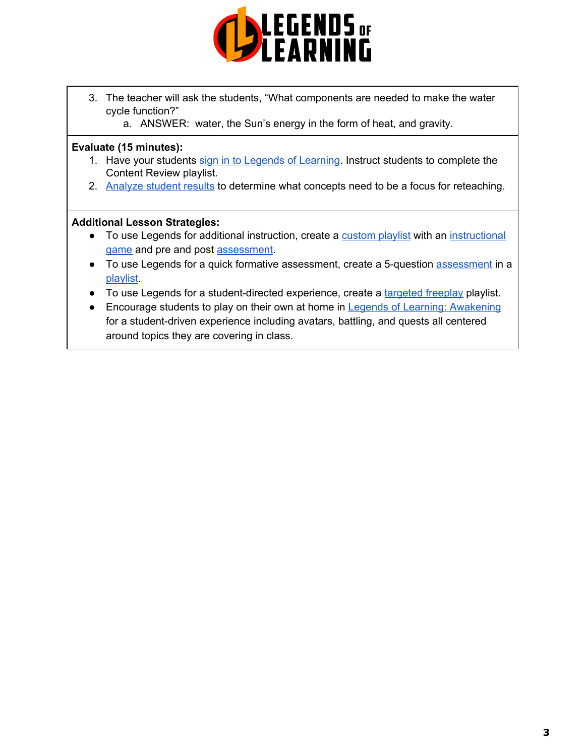

- 3. The teacher will ask the students, "What components are needed to make the water cycle function?"
	- a. ANSWER: water, the Sun's energy in the form of heat, and gravity.

#### **Evaluate (15 minutes):**

- 1. Have your students sign in to Legends of [Learning](https://intercom.help/legends-of-learning/en/articles/2154920-students-joining-a-playlist). Instruct students to complete the Content Review playlist.
- 2. [Analyze](https://intercom.help/legends-of-learning/en/articles/2154918-tracking-student-progress-and-performance) student results to determine what concepts need to be a focus for reteaching.

#### **Additional Lesson Strategies:**

- To use Legends for additional instruction, create a **[custom](https://intercom.help/legends-of-learning/en/articles/2154910-creating-a-playlist) playlist** with an [instructional](https://intercom.help/legends-of-learning/en/articles/3505828-types-of-games) [game](https://intercom.help/legends-of-learning/en/articles/3505828-types-of-games) and pre and post [assessment.](https://intercom.help/legends-of-learning/en/articles/2154913-adding-assessments-to-a-playlist)
- To use Legends for a quick formative [assessment](https://intercom.help/legends-of-learning/en/articles/2154913-adding-assessments-to-a-playlist), create a 5-question assessment in a **playlist**
- To use Legends for a student-directed experience, create a [targeted](https://intercom.help/legends-of-learning/en/articles/3340814-targeted-freeplay) freeplay playlist.
- Encourage students to play on their own at home in Legends of Learning: [Awakening](https://intercom.help/legends-of-learning/en/articles/2425490-legends-of-learning-awakening) for a student-driven experience including avatars, battling, and quests all centered around topics they are covering in class.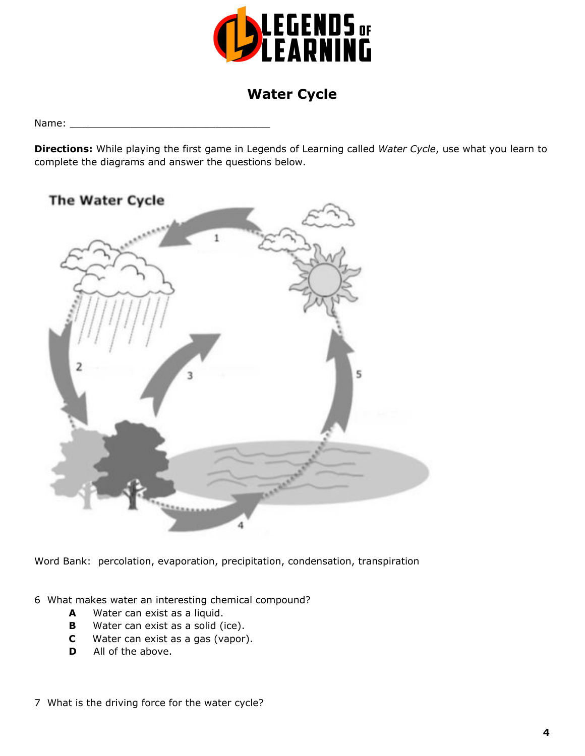

# **Water Cycle**

Name:

**Directions:** While playing the first game in Legends of Learning called *Water Cycle*, use what you learn to complete the diagrams and answer the questions below.



Word Bank: percolation, evaporation, precipitation, condensation, transpiration

6 What makes water an interesting chemical compound?

- **A** Water can exist as a liquid.
- **B** Water can exist as a solid (ice).
- **C** Water can exist as a gas (vapor).
- **D** All of the above.
- 7 What is the driving force for the water cycle?